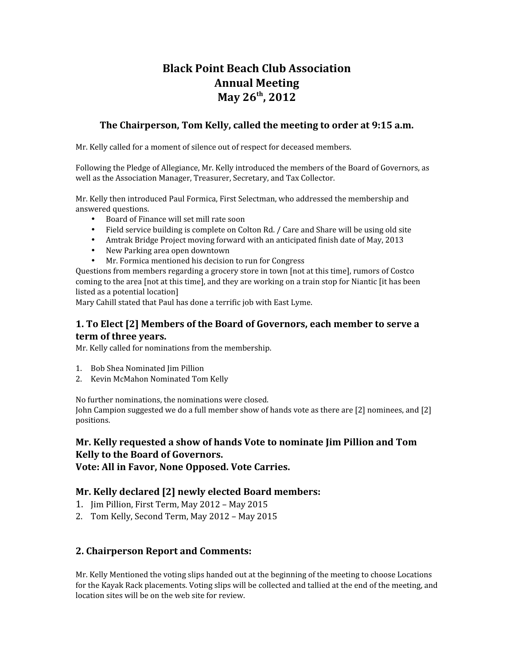# **Black Point Beach Club Association Annual Meeting May 26th, 2012**

### **The Chairperson, Tom Kelly, called the meeting to order at 9:15 a.m.**

Mr. Kelly called for a moment of silence out of respect for deceased members.

Following the Pledge of Allegiance, Mr. Kelly introduced the members of the Board of Governors, as well as the Association Manager, Treasurer, Secretary, and Tax Collector.

Mr. Kelly then introduced Paul Formica, First Selectman, who addressed the membership and answered questions.

- Board of Finance will set mill rate soon
- Field service building is complete on Colton Rd. / Care and Share will be using old site
- Amtrak Bridge Project moving forward with an anticipated finish date of May, 2013
- New Parking area open downtown
- Mr. Formica mentioned his decision to run for Congress

Questions from members regarding a grocery store in town [not at this time], rumors of Costco coming to the area [not at this time], and they are working on a train stop for Niantic [it has been listed as a potential location]

Mary Cahill stated that Paul has done a terrific job with East Lyme.

### **1. To Elect [2] Members of the Board of Governors, each member to serve a term of three years.**

Mr. Kelly called for nominations from the membership.

- 1. Bob Shea Nominated Jim Pillion
- 2. Kevin McMahon Nominated Tom Kelly

No further nominations, the nominations were closed.

John Campion suggested we do a full member show of hands vote as there are [2] nominees, and [2] positions.

### **Mr. Kelly requested a show of hands Vote to nominate Jim Pillion and Tom Kelly to the Board of Governors. Vote: All in Favor, None Opposed. Vote Carries.**

# **Mr. Kelly declared [2] newly elected Board members:**

- 1. Jim Pillion, First Term, May 2012 May 2015
- 2. Tom Kelly, Second Term, May 2012 May 2015

## **2. Chairperson Report and Comments:**

Mr. Kelly Mentioned the voting slips handed out at the beginning of the meeting to choose Locations for the Kayak Rack placements. Voting slips will be collected and tallied at the end of the meeting, and location sites will be on the web site for review.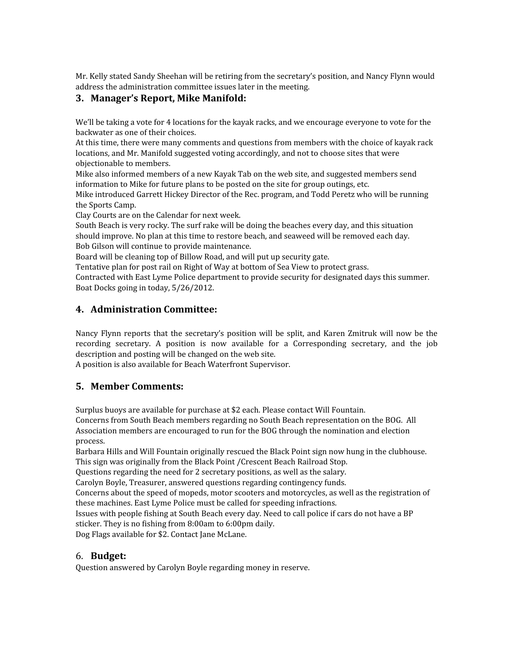Mr. Kelly stated Sandy Sheehan will be retiring from the secretary's position, and Nancy Flynn would address the administration committee issues later in the meeting.

# **3. Manager's Report, Mike Manifold:**

We'll be taking a vote for 4 locations for the kayak racks, and we encourage everyone to vote for the backwater as one of their choices.

At this time, there were many comments and questions from members with the choice of kayak rack locations, and Mr. Manifold suggested voting accordingly, and not to choose sites that were objectionable to members.

Mike also informed members of a new Kayak Tab on the web site, and suggested members send information to Mike for future plans to be posted on the site for group outings, etc.

Mike introduced Garrett Hickey Director of the Rec. program, and Todd Peretz who will be running the Sports Camp.

Clay Courts are on the Calendar for next week.

South Beach is very rocky. The surf rake will be doing the beaches every day, and this situation should improve. No plan at this time to restore beach, and seaweed will be removed each day. Bob Gilson will continue to provide maintenance.

Board will be cleaning top of Billow Road, and will put up security gate.

Tentative plan for post rail on Right of Way at bottom of Sea View to protect grass.

Contracted with East Lyme Police department to provide security for designated days this summer. Boat Docks going in today, 5/26/2012.

# **4. Administration Committee:**

Nancy Flynn reports that the secretary's position will be split, and Karen Zmitruk will now be the recording secretary. A position is now available for a Corresponding secretary, and the job description and posting will be changed on the web site.

A position is also available for Beach Waterfront Supervisor.

## **5. Member Comments:**

Surplus buoys are available for purchase at \$2 each. Please contact Will Fountain.

Concerns from South Beach members regarding no South Beach representation on the BOG. All Association members are encouraged to run for the BOG through the nomination and election process.

Barbara Hills and Will Fountain originally rescued the Black Point sign now hung in the clubhouse. This sign was originally from the Black Point /Crescent Beach Railroad Stop.

Questions regarding the need for 2 secretary positions, as well as the salary.

Carolyn Boyle, Treasurer, answered questions regarding contingency funds.

Concerns about the speed of mopeds, motor scooters and motorcycles, as well as the registration of these machines. East Lyme Police must be called for speeding infractions.

Issues with people fishing at South Beach every day. Need to call police if cars do not have a BP sticker. They is no fishing from 8:00am to 6:00pm daily.

Dog Flags available for \$2. Contact Jane McLane.

## 6. **Budget:**

Question answered by Carolyn Boyle regarding money in reserve.